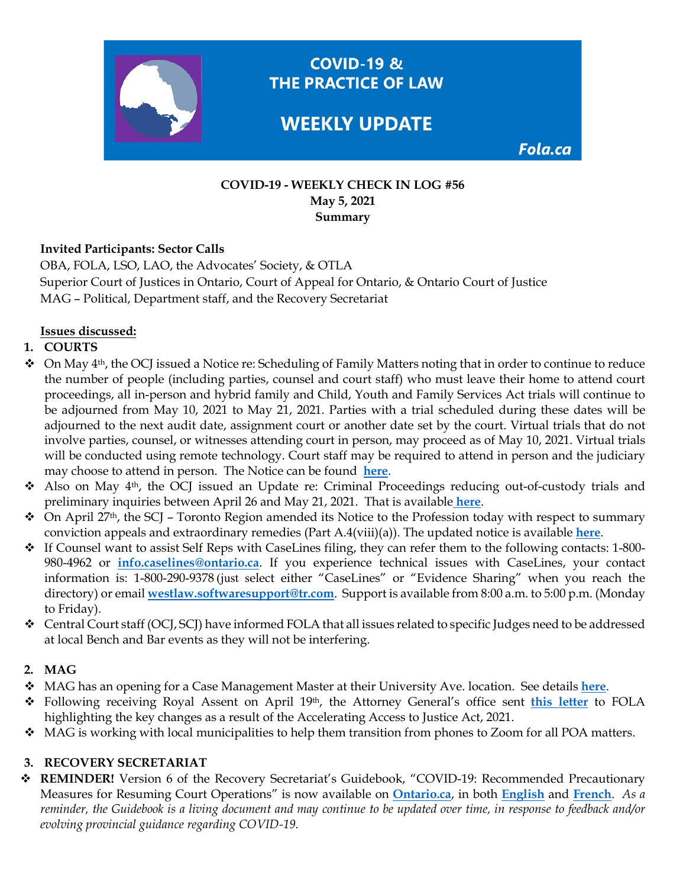

#### **COVID-19 - WEEKLY CHECK IN LOG #56 May 5, 2021 Summary**

## **Invited Participants: Sector Calls**

OBA, FOLA, LSO, LAO, the Advocates' Society, & OTLA Superior Court of Justices in Ontario, Court of Appeal for Ontario, & Ontario Court of Justice MAG – Political, Department staff, and the Recovery Secretariat

## **Issues discussed:**

## **1. COURTS**

- $\bullet$  On May 4<sup>th</sup>, the OCJ issued a Notice re: Scheduling of Family Matters noting that in order to continue to reduce the number of people (including parties, counsel and court staff) who must leave their home to attend court proceedings, all in-person and hybrid family and Child, Youth and Family Services Act trials will continue to be adjourned from May 10, 2021 to May 21, 2021. Parties with a trial scheduled during these dates will be adjourned to the next audit date, assignment court or another date set by the court. Virtual trials that do not involve parties, counsel, or witnesses attending court in person, may proceed as of May 10, 2021. Virtual trials will be conducted using remote technology. Court staff may be required to attend in person and the judiciary may choose to attend in person. The Notice can be found **[here](https://www.ontariocourts.ca/ocj/covid-19/#Latest_Announcements_About_Family_Proceedings_in_the_OCJ_Updated_May_4_2021)**.
- Also on May 4th, the OCJ issued an Update re: Criminal Proceedings reducing out-of-custody trials and preliminary inquiries between April 26 and May 21, 2021. That is available **[here](https://www.ontariocourts.ca/ocj/covid-19/criminal-notice-april-21-21/)**.
- $\bullet$  On April 27<sup>th</sup>, the SCJ Toronto Region amended its Notice to the Profession today with respect to summary conviction appeals and extraordinary remedies (Part A.4(viii)(a)). The updated notice is available **[here](https://www.ontariocourts.ca/scj/notices-and-orders-covid-19/notice-to/)**.
- $\div$  If Counsel want to assist Self Reps with CaseLines filing, they can refer them to the following contacts: 1-800-980-4962 or **[info.caselines@ontario.ca](mailto:info.caselines@ontario.ca)**. If you experience technical issues with CaseLines, your contact information is: 1-800-290-9378 (just select either "CaseLines" or "Evidence Sharing" when you reach the directory) or email **[westlaw.softwaresupport@tr.com](mailto:westlaw.softwaresupport@tr.com)**. Support is available from 8:00 a.m. to 5:00 p.m. (Monday to Friday).
- $\triangleleft$  Central Court staff (OCJ, SCJ) have informed FOLA that all issues related to specific Judges need to be addressed at local Bench and Bar events as they will not be interfering.

#### **2. MAG**

- MAG has an opening for a Case Management Master at their University Ave. location. See details **[here](https://fola.ca/jobs)**.
- Following receiving Royal Assent on April 19th, the Attorney General's office sent **[this letter](https://img1.wsimg.com/blobby/go/63f6349d-d85d-4511-bc5f-4314d54b45d0/downloads/Accelerating%20Access%20to%20Justice%20Act%202021%20MAG.pdf?ver=1620139968472)** to FOLA highlighting the key changes as a result of the Accelerating Access to Justice Act, 2021.
- $\bullet$  MAG is working with local municipalities to help them transition from phones to Zoom for all POA matters.

#### **3. RECOVERY SECRETARIAT**

 **REMINDER!** Version 6 of the Recovery Secretariat's Guidebook, "COVID-19: Recommended Precautionary Measures for Resuming Court Operations" is now available on **[Ontario.ca](https://www.ontario.ca/page/covid-19-reopening-courtrooms)**, in both **[English](https://www.ontario.ca/page/covid-19-safety-measures-court-locations#section-0)** and **[French](https://www.ontario.ca/fr/page/covid-19-mesures-sanitaires-dans-les-tribunaux)**. *As a reminder, the Guidebook is a living document and may continue to be updated over time, in response to feedback and/or evolving provincial guidance regarding COVID-19.*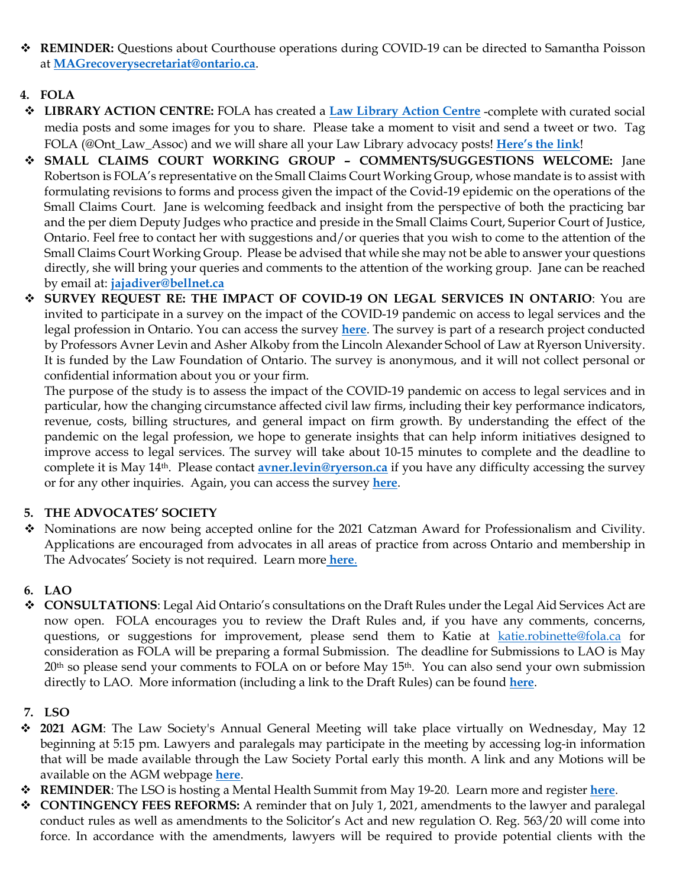- **REMINDER:** Questions about Courthouse operations during COVID-19 can be directed to Samantha Poisson at **[MAGrecoverysecretariat@ontario.ca](mailto:MAGrecoverysecretariat@ontario.ca)**.
- **4. FOLA**
- **LIBRARY ACTION CENTRE:** FOLA has created a **[Law Library Action Centre](https://fola.ca/ont-courthouse-libraries#f9ecb8b0-e86a-4f62-99ea-d553e4832052)** -complete with curated social media posts and some images for you to share. Please take a moment to visit and send a tweet or two. Tag FOLA (@Ont\_Law\_Assoc) and we will share all your Law Library advocacy posts! **[Here's the link](https://fola.ca/ont-courthouse-libraries#f9ecb8b0-e86a-4f62-99ea-d553e4832052)**!
- **SMALL CLAIMS COURT WORKING GROUP – COMMENTS/SUGGESTIONS WELCOME:** Jane Robertson is FOLA's representative on the Small Claims Court Working Group, whose mandate is to assist with formulating revisions to forms and process given the impact of the Covid-19 epidemic on the operations of the Small Claims Court. Jane is welcoming feedback and insight from the perspective of both the practicing bar and the per diem Deputy Judges who practice and preside in the Small Claims Court, Superior Court of Justice, Ontario. Feel free to contact her with suggestions and/or queries that you wish to come to the attention of the Small Claims Court Working Group. Please be advised that while she may not be able to answer your questions directly, she will bring your queries and comments to the attention of the working group. Jane can be reached by email at: **[jajadiver@bellnet.ca](mailto:jajadiver@bellnet.ca)**
- **SURVEY REQUEST RE: THE IMPACT OF COVID-19 ON LEGAL SERVICES IN ONTARIO**: You are invited to participate in a survey on the impact of the COVID-19 pandemic on access to legal services and the legal profession in Ontario. You can access the survey **[here](https://ryersontrsm.ca1.qualtrics.com/jfe/form/SV_cSaaSg2OZyhlq50)**. The survey is part of a research project conducted by Professors Avner Levin and Asher Alkoby from the Lincoln Alexander School of Law at Ryerson University. It is funded by the Law Foundation of Ontario. The survey is anonymous, and it will not collect personal or confidential information about you or your firm.

The purpose of the study is to assess the impact of the COVID-19 pandemic on access to legal services and in particular, how the changing circumstance affected civil law firms, including their key performance indicators, revenue, costs, billing structures, and general impact on firm growth. By understanding the effect of the pandemic on the legal profession, we hope to generate insights that can help inform initiatives designed to improve access to legal services. The survey will take about 10-15 minutes to complete and the deadline to complete it is May 14th. Please contact **[avner.levin@ryerson.ca](mailto:avner.levin@ryerson.ca)** if you have any difficulty accessing the survey or for any other inquiries. Again, you can access the survey **[here](https://ryersontrsm.ca1.qualtrics.com/jfe/form/SV_cSaaSg2OZyhlq50)**.

# **5. THE ADVOCATES' SOCIETY**

 Nominations are now being accepted online for the 2021 Catzman Award for Professionalism and Civility. Applications are encouraged from advocates in all areas of practice from across Ontario and membership in The Advocates' Society is not required. Learn more **[here](https://fola.ca/awards#04826301-f059-4396-b7ab-f3ad948c148c)**.

# **6. LAO**

- **CONSULTATIONS**: Legal Aid Ontario's consultations on the Draft Rules under the Legal Aid Services Act are now open. FOLA encourages you to review the Draft Rules and, if you have any comments, concerns, questions, or suggestions for improvement, please send them to Katie at [katie.robinette@fola.ca](mailto:katie.robinette@fola.ca) for consideration as FOLA will be preparing a formal Submission. The deadline for Submissions to LAO is May 20<sup>th</sup> so please send your comments to FOLA on or before May 15<sup>th</sup>. You can also send your own submission directly to LAO. More information (including a link to the Draft Rules) can be found **[here](https://fola.ca/legal-aid)**.
- **7. LSO**
- **2021 AGM**: The Law Society's Annual General Meeting will take place virtually on Wednesday, May 12 beginning at 5:15 pm. Lawyers and paralegals may participate in the meeting by accessing log-in information that will be made available through the Law Society Portal early this month. A link and any Motions will be available on the AGM webpage **[here](https://lso.ca/about-lso/governance/annual-general-meeting)**.
- **REMINDER**: The LSO is hosting a Mental Health Summit from May 19-20. Learn more and register **[here](https://store.lso.ca/mental-health-for-legal-professionals-summit)**.
- **CONTINGENCY FEES REFORMS:** A reminder that on July 1, 2021, amendments to the lawyer and paralegal conduct rules as well as amendments to the Solicitor's Act and new regulation O. Reg. 563/20 will come into force. In accordance with the amendments, lawyers will be required to provide potential clients with the